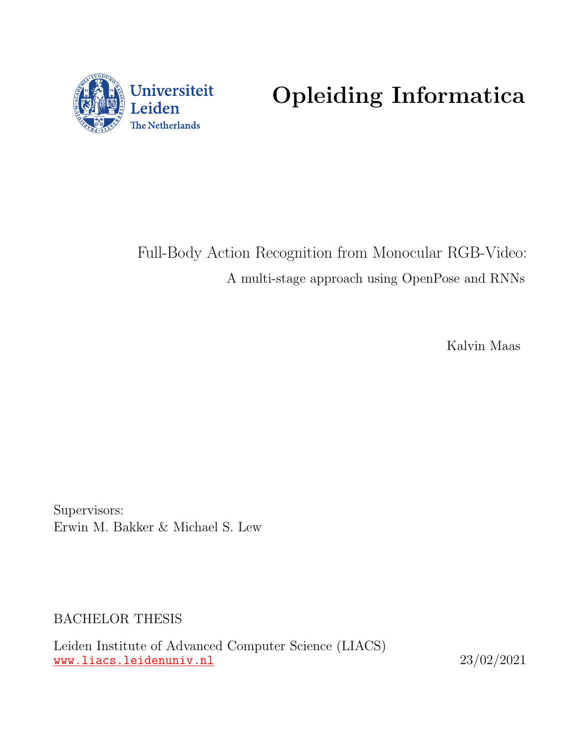

Opleiding Informatica

Full-Body Action Recognition from Monocular RGB-Video: A multi-stage approach using OpenPose and RNNs

Kalvin Maas

Supervisors: Erwin M. Bakker & Michael S. Lew

BACHELOR THESIS

Leiden Institute of Advanced Computer Science (LIACS) <www.liacs.leidenuniv.nl> 23/02/2021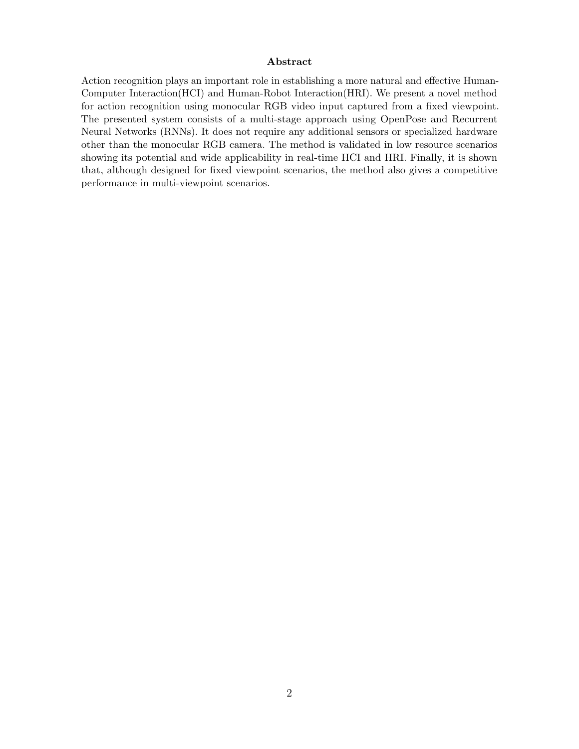#### Abstract

Action recognition plays an important role in establishing a more natural and effective Human-Computer Interaction(HCI) and Human-Robot Interaction(HRI). We present a novel method for action recognition using monocular RGB video input captured from a fixed viewpoint. The presented system consists of a multi-stage approach using OpenPose and Recurrent Neural Networks (RNNs). It does not require any additional sensors or specialized hardware other than the monocular RGB camera. The method is validated in low resource scenarios showing its potential and wide applicability in real-time HCI and HRI. Finally, it is shown that, although designed for fixed viewpoint scenarios, the method also gives a competitive performance in multi-viewpoint scenarios.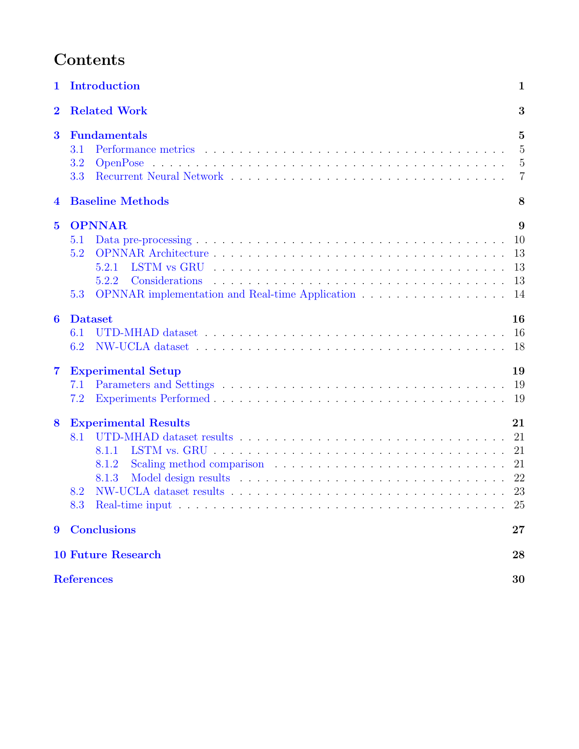# Contents

| $\mathbf 1$      | Introduction                                                                                            | $\mathbf 1$                                                          |
|------------------|---------------------------------------------------------------------------------------------------------|----------------------------------------------------------------------|
| $\bf{2}$         | <b>Related Work</b>                                                                                     | 3                                                                    |
| 3                | <b>Fundamentals</b><br>3.1<br>3.2<br>3.3                                                                | $\overline{5}$<br>$\overline{5}$<br>$\overline{5}$<br>$\overline{7}$ |
| $\overline{4}$   | <b>Baseline Methods</b>                                                                                 | 8                                                                    |
| $\overline{5}$   | <b>OPNNAR</b><br>5.1<br>5.2<br>5.2.1<br>5.2.2<br>OPNNAR implementation and Real-time Application<br>5.3 | 9<br>10<br>13<br>13<br>13<br>14                                      |
| 6                | <b>Dataset</b><br>6.1<br>6.2                                                                            | 16<br>16<br>18                                                       |
| $\overline{7}$   | <b>Experimental Setup</b><br>7.1<br>7.2                                                                 | 19<br>19<br>19                                                       |
| 8                | <b>Experimental Results</b><br>8.1<br>8.1.1<br>8.1.2<br>8.1.3<br>8.2<br>8.3                             | 21<br>21<br>21<br>21<br>22<br>25                                     |
| $\boldsymbol{9}$ | <b>Conclusions</b>                                                                                      | 27                                                                   |
|                  | <b>10 Future Research</b>                                                                               | 28                                                                   |
|                  | <b>References</b>                                                                                       | 30                                                                   |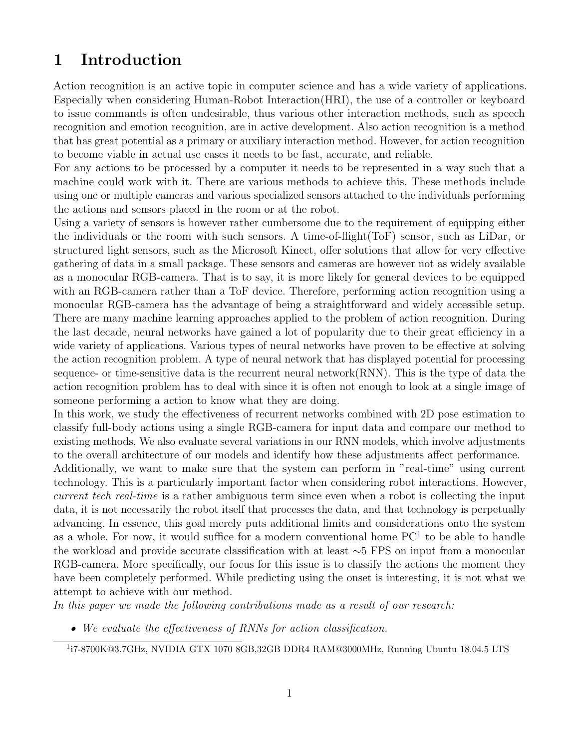# <span id="page-3-0"></span>1 Introduction

Action recognition is an active topic in computer science and has a wide variety of applications. Especially when considering Human-Robot Interaction(HRI), the use of a controller or keyboard to issue commands is often undesirable, thus various other interaction methods, such as speech recognition and emotion recognition, are in active development. Also action recognition is a method that has great potential as a primary or auxiliary interaction method. However, for action recognition to become viable in actual use cases it needs to be fast, accurate, and reliable.

For any actions to be processed by a computer it needs to be represented in a way such that a machine could work with it. There are various methods to achieve this. These methods include using one or multiple cameras and various specialized sensors attached to the individuals performing the actions and sensors placed in the room or at the robot.

Using a variety of sensors is however rather cumbersome due to the requirement of equipping either the individuals or the room with such sensors. A time-of-flight(ToF) sensor, such as LiDar, or structured light sensors, such as the Microsoft Kinect, offer solutions that allow for very effective gathering of data in a small package. These sensors and cameras are however not as widely available as a monocular RGB-camera. That is to say, it is more likely for general devices to be equipped with an RGB-camera rather than a ToF device. Therefore, performing action recognition using a monocular RGB-camera has the advantage of being a straightforward and widely accessible setup. There are many machine learning approaches applied to the problem of action recognition. During the last decade, neural networks have gained a lot of popularity due to their great efficiency in a wide variety of applications. Various types of neural networks have proven to be effective at solving the action recognition problem. A type of neural network that has displayed potential for processing sequence- or time-sensitive data is the recurrent neural network(RNN). This is the type of data the action recognition problem has to deal with since it is often not enough to look at a single image of someone performing a action to know what they are doing.

In this work, we study the effectiveness of recurrent networks combined with 2D pose estimation to classify full-body actions using a single RGB-camera for input data and compare our method to existing methods. We also evaluate several variations in our RNN models, which involve adjustments to the overall architecture of our models and identify how these adjustments affect performance.

Additionally, we want to make sure that the system can perform in "real-time" using current technology. This is a particularly important factor when considering robot interactions. However, current tech real-time is a rather ambiguous term since even when a robot is collecting the input data, it is not necessarily the robot itself that processes the data, and that technology is perpetually advancing. In essence, this goal merely puts additional limits and considerations onto the system as a whole. For now, it would suffice for a modern conventional home  $PC<sup>1</sup>$  $PC<sup>1</sup>$  $PC<sup>1</sup>$  to be able to handle the workload and provide accurate classification with at least ∼5 FPS on input from a monocular RGB-camera. More specifically, our focus for this issue is to classify the actions the moment they have been completely performed. While predicting using the onset is interesting, it is not what we attempt to achieve with our method.

In this paper we made the following contributions made as a result of our research:

• We evaluate the effectiveness of RNNs for action classification.

<span id="page-3-1"></span><sup>1</sup> i7-8700K@3.7GHz, NVIDIA GTX 1070 8GB,32GB DDR4 RAM@3000MHz, Running Ubuntu 18.04.5 LTS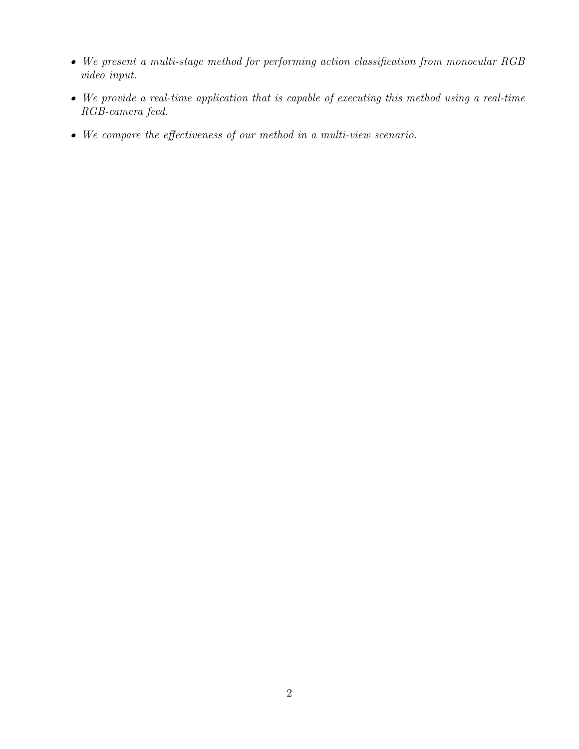- We present a multi-stage method for performing action classification from monocular RGB video input.
- We provide a real-time application that is capable of executing this method using a real-time RGB-camera feed.
- We compare the effectiveness of our method in a multi-view scenario.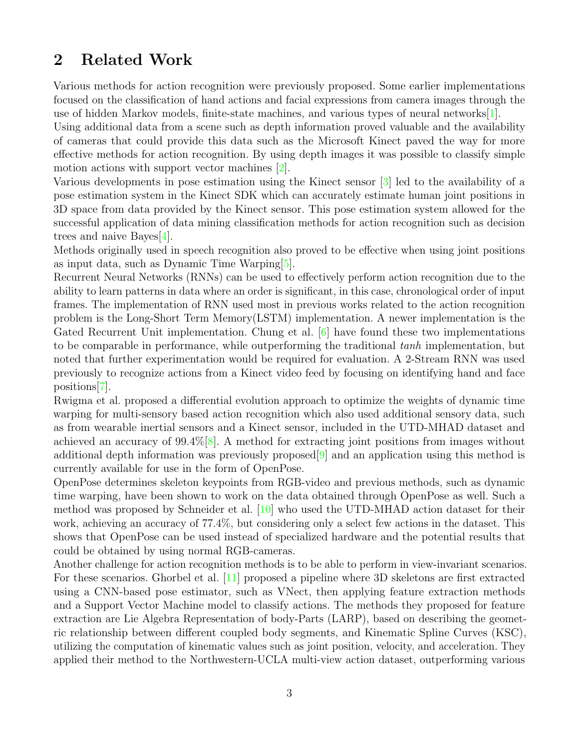## <span id="page-5-0"></span>2 Related Work

Various methods for action recognition were previously proposed. Some earlier implementations focused on the classification of hand actions and facial expressions from camera images through the use of hidden Markov models, finite-state machines, and various types of neural networks[\[1\]](#page-31-1).

Using additional data from a scene such as depth information proved valuable and the availability of cameras that could provide this data such as the Microsoft Kinect paved the way for more effective methods for action recognition. By using depth images it was possible to classify simple motion actions with support vector machines [\[2\]](#page-31-2).

Various developments in pose estimation using the Kinect sensor [\[3\]](#page-31-3) led to the availability of a pose estimation system in the Kinect SDK which can accurately estimate human joint positions in 3D space from data provided by the Kinect sensor. This pose estimation system allowed for the successful application of data mining classification methods for action recognition such as decision trees and naive Bayes[\[4\]](#page-31-4).

Methods originally used in speech recognition also proved to be effective when using joint positions as input data, such as Dynamic Time Warping[\[5\]](#page-31-5).

Recurrent Neural Networks (RNNs) can be used to effectively perform action recognition due to the ability to learn patterns in data where an order is significant, in this case, chronological order of input frames. The implementation of RNN used most in previous works related to the action recognition problem is the Long-Short Term Memory(LSTM) implementation. A newer implementation is the Gated Recurrent Unit implementation. Chung et al. [\[6\]](#page-31-6) have found these two implementations to be comparable in performance, while outperforming the traditional tanh implementation, but noted that further experimentation would be required for evaluation. A 2-Stream RNN was used previously to recognize actions from a Kinect video feed by focusing on identifying hand and face positions[\[7\]](#page-31-7).

Rwigma et al. proposed a differential evolution approach to optimize the weights of dynamic time warping for multi-sensory based action recognition which also used additional sensory data, such as from wearable inertial sensors and a Kinect sensor, included in the UTD-MHAD dataset and achieved an accuracy of 99.4%[\[8\]](#page-31-8). A method for extracting joint positions from images without additional depth information was previously proposed[\[9\]](#page-31-9) and an application using this method is currently available for use in the form of OpenPose.

OpenPose determines skeleton keypoints from RGB-video and previous methods, such as dynamic time warping, have been shown to work on the data obtained through OpenPose as well. Such a method was proposed by Schneider et al. [\[10\]](#page-31-10) who used the UTD-MHAD action dataset for their work, achieving an accuracy of 77.4%, but considering only a select few actions in the dataset. This shows that OpenPose can be used instead of specialized hardware and the potential results that could be obtained by using normal RGB-cameras.

Another challenge for action recognition methods is to be able to perform in view-invariant scenarios. For these scenarios. Ghorbel et al. [\[11\]](#page-31-11) proposed a pipeline where 3D skeletons are first extracted using a CNN-based pose estimator, such as VNect, then applying feature extraction methods and a Support Vector Machine model to classify actions. The methods they proposed for feature extraction are Lie Algebra Representation of body-Parts (LARP), based on describing the geometric relationship between different coupled body segments, and Kinematic Spline Curves (KSC), utilizing the computation of kinematic values such as joint position, velocity, and acceleration. They applied their method to the Northwestern-UCLA multi-view action dataset, outperforming various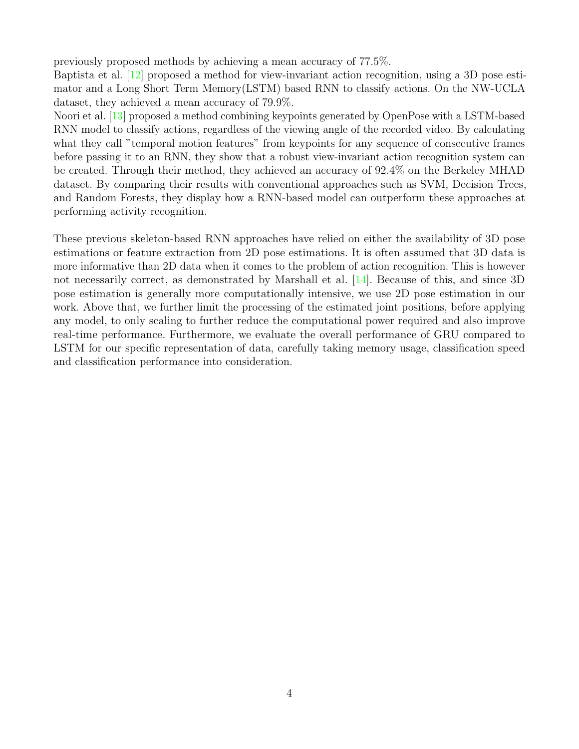previously proposed methods by achieving a mean accuracy of 77.5%.

Baptista et al. [\[12\]](#page-31-12) proposed a method for view-invariant action recognition, using a 3D pose estimator and a Long Short Term Memory(LSTM) based RNN to classify actions. On the NW-UCLA dataset, they achieved a mean accuracy of 79.9%.

Noori et al. [\[13\]](#page-32-0) proposed a method combining keypoints generated by OpenPose with a LSTM-based RNN model to classify actions, regardless of the viewing angle of the recorded video. By calculating what they call "temporal motion features" from keypoints for any sequence of consecutive frames before passing it to an RNN, they show that a robust view-invariant action recognition system can be created. Through their method, they achieved an accuracy of 92.4% on the Berkeley MHAD dataset. By comparing their results with conventional approaches such as SVM, Decision Trees, and Random Forests, they display how a RNN-based model can outperform these approaches at performing activity recognition.

These previous skeleton-based RNN approaches have relied on either the availability of 3D pose estimations or feature extraction from 2D pose estimations. It is often assumed that 3D data is more informative than 2D data when it comes to the problem of action recognition. This is however not necessarily correct, as demonstrated by Marshall et al. [\[14\]](#page-32-1). Because of this, and since 3D pose estimation is generally more computationally intensive, we use 2D pose estimation in our work. Above that, we further limit the processing of the estimated joint positions, before applying any model, to only scaling to further reduce the computational power required and also improve real-time performance. Furthermore, we evaluate the overall performance of GRU compared to LSTM for our specific representation of data, carefully taking memory usage, classification speed and classification performance into consideration.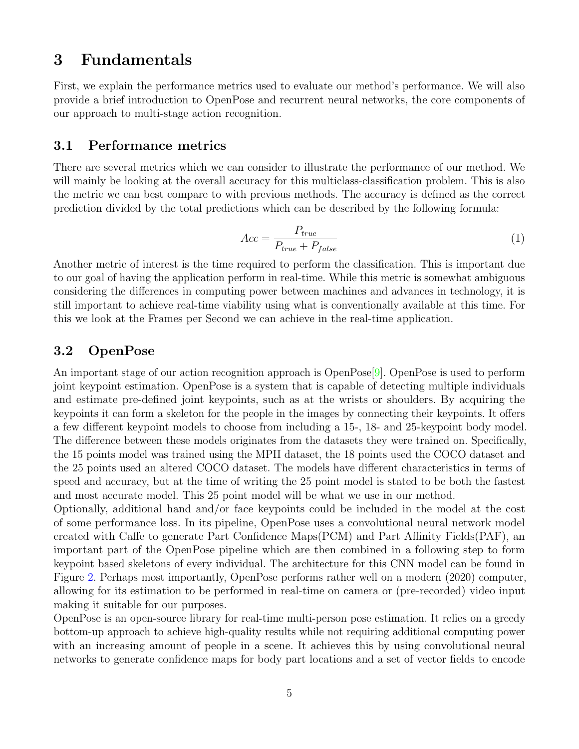## <span id="page-7-0"></span>3 Fundamentals

First, we explain the performance metrics used to evaluate our method's performance. We will also provide a brief introduction to OpenPose and recurrent neural networks, the core components of our approach to multi-stage action recognition.

#### <span id="page-7-1"></span>3.1 Performance metrics

There are several metrics which we can consider to illustrate the performance of our method. We will mainly be looking at the overall accuracy for this multiclass-classification problem. This is also the metric we can best compare to with previous methods. The accuracy is defined as the correct prediction divided by the total predictions which can be described by the following formula:

$$
Acc = \frac{P_{true}}{P_{true} + P_{false}}\tag{1}
$$

Another metric of interest is the time required to perform the classification. This is important due to our goal of having the application perform in real-time. While this metric is somewhat ambiguous considering the differences in computing power between machines and advances in technology, it is still important to achieve real-time viability using what is conventionally available at this time. For this we look at the Frames per Second we can achieve in the real-time application.

#### <span id="page-7-2"></span>3.2 OpenPose

An important stage of our action recognition approach is OpenPose<sup>[\[9\]](#page-31-9)</sup>. OpenPose is used to perform joint keypoint estimation. OpenPose is a system that is capable of detecting multiple individuals and estimate pre-defined joint keypoints, such as at the wrists or shoulders. By acquiring the keypoints it can form a skeleton for the people in the images by connecting their keypoints. It offers a few different keypoint models to choose from including a 15-, 18- and 25-keypoint body model. The difference between these models originates from the datasets they were trained on. Specifically, the 15 points model was trained using the MPII dataset, the 18 points used the COCO dataset and the 25 points used an altered COCO dataset. The models have different characteristics in terms of speed and accuracy, but at the time of writing the 25 point model is stated to be both the fastest and most accurate model. This 25 point model will be what we use in our method.

Optionally, additional hand and/or face keypoints could be included in the model at the cost of some performance loss. In its pipeline, OpenPose uses a convolutional neural network model created with Caffe to generate Part Confidence Maps(PCM) and Part Affinity Fields(PAF), an important part of the OpenPose pipeline which are then combined in a following step to form keypoint based skeletons of every individual. The architecture for this CNN model can be found in Figure [2.](#page-8-0) Perhaps most importantly, OpenPose performs rather well on a modern (2020) computer, allowing for its estimation to be performed in real-time on camera or (pre-recorded) video input making it suitable for our purposes.

OpenPose is an open-source library for real-time multi-person pose estimation. It relies on a greedy bottom-up approach to achieve high-quality results while not requiring additional computing power with an increasing amount of people in a scene. It achieves this by using convolutional neural networks to generate confidence maps for body part locations and a set of vector fields to encode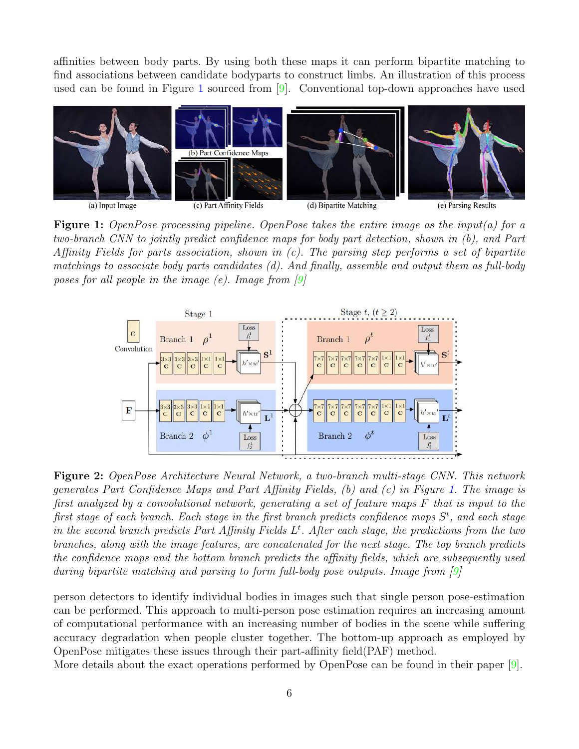affinities between body parts. By using both these maps it can perform bipartite matching to find associations between candidate bodyparts to construct limbs. An illustration of this process used can be found in Figure [1](#page-8-1) sourced from [\[9\]](#page-31-9). Conventional top-down approaches have used

<span id="page-8-1"></span>

Figure 1: OpenPose processing pipeline. OpenPose takes the entire image as the input(a) for a two-branch CNN to jointly predict confidence maps for body part detection, shown in (b), and Part Affinity Fields for parts association, shown in  $(c)$ . The parsing step performs a set of bipartite matchings to associate body parts candidates (d). And finally, assemble and output them as full-body poses for all people in the image  $(e)$ . Image from  $[9]$ 

<span id="page-8-0"></span>

Figure 2: OpenPose Architecture Neural Network, a two-branch multi-stage CNN. This network generates Part Confidence Maps and Part Affinity Fields, (b) and (c) in Figure [1.](#page-8-1) The image is first analyzed by a convolutional network, generating a set of feature maps F that is input to the first stage of each branch. Each stage in the first branch predicts confidence maps  $S<sup>t</sup>$ , and each stage in the second branch predicts Part Affinity Fields  $L<sup>t</sup>$ . After each stage, the predictions from the two branches, along with the image features, are concatenated for the next stage. The top branch predicts the confidence maps and the bottom branch predicts the affinity fields, which are subsequently used during bipartite matching and parsing to form full-body pose outputs. Image from [\[9\]](#page-31-9)

person detectors to identify individual bodies in images such that single person pose-estimation can be performed. This approach to multi-person pose estimation requires an increasing amount of computational performance with an increasing number of bodies in the scene while suffering accuracy degradation when people cluster together. The bottom-up approach as employed by OpenPose mitigates these issues through their part-affinity field(PAF) method.

More details about the exact operations performed by OpenPose can be found in their paper [\[9\]](#page-31-9).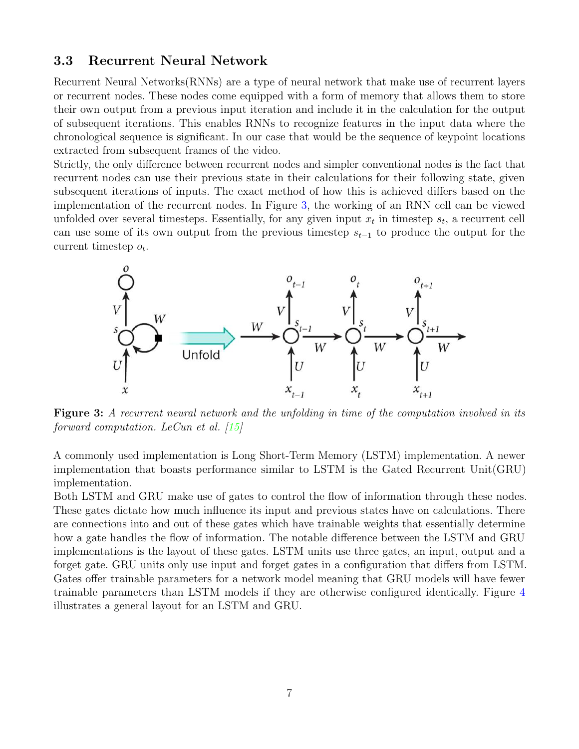#### <span id="page-9-0"></span>3.3 Recurrent Neural Network

Recurrent Neural Networks(RNNs) are a type of neural network that make use of recurrent layers or recurrent nodes. These nodes come equipped with a form of memory that allows them to store their own output from a previous input iteration and include it in the calculation for the output of subsequent iterations. This enables RNNs to recognize features in the input data where the chronological sequence is significant. In our case that would be the sequence of keypoint locations extracted from subsequent frames of the video.

Strictly, the only difference between recurrent nodes and simpler conventional nodes is the fact that recurrent nodes can use their previous state in their calculations for their following state, given subsequent iterations of inputs. The exact method of how this is achieved differs based on the implementation of the recurrent nodes. In Figure [3,](#page-9-1) the working of an RNN cell can be viewed unfolded over several timesteps. Essentially, for any given input  $x_t$  in timestep  $s_t$ , a recurrent cell can use some of its own output from the previous timestep  $s_{t-1}$  to produce the output for the current timestep  $o_t$ .

<span id="page-9-1"></span>

Figure 3: A recurrent neural network and the unfolding in time of the computation involved in its forward computation. LeCun et al. [\[15\]](#page-32-2)

A commonly used implementation is Long Short-Term Memory (LSTM) implementation. A newer implementation that boasts performance similar to LSTM is the Gated Recurrent Unit(GRU) implementation.

Both LSTM and GRU make use of gates to control the flow of information through these nodes. These gates dictate how much influence its input and previous states have on calculations. There are connections into and out of these gates which have trainable weights that essentially determine how a gate handles the flow of information. The notable difference between the LSTM and GRU implementations is the layout of these gates. LSTM units use three gates, an input, output and a forget gate. GRU units only use input and forget gates in a configuration that differs from LSTM. Gates offer trainable parameters for a network model meaning that GRU models will have fewer trainable parameters than LSTM models if they are otherwise configured identically. Figure [4](#page-10-1) illustrates a general layout for an LSTM and GRU.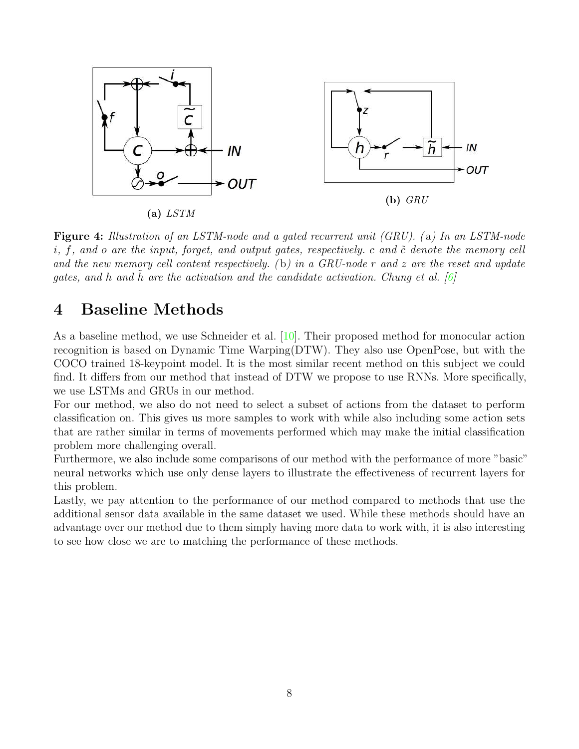<span id="page-10-1"></span>

Figure 4: Illustration of an LSTM-node and a gated recurrent unit (GRU). ( a) In an LSTM-node i, f, and o are the input, forget, and output gates, respectively. c and  $\tilde{c}$  denote the memory cell and the new memory cell content respectively. (b) in a GRU-node r and z are the reset and update gates, and h and h are the activation and the candidate activation. Chung et al.  $[6]$ 

# <span id="page-10-0"></span>4 Baseline Methods

As a baseline method, we use Schneider et al. [\[10\]](#page-31-10). Their proposed method for monocular action recognition is based on Dynamic Time Warping(DTW). They also use OpenPose, but with the COCO trained 18-keypoint model. It is the most similar recent method on this subject we could find. It differs from our method that instead of DTW we propose to use RNNs. More specifically, we use LSTMs and GRUs in our method.

For our method, we also do not need to select a subset of actions from the dataset to perform classification on. This gives us more samples to work with while also including some action sets that are rather similar in terms of movements performed which may make the initial classification problem more challenging overall.

Furthermore, we also include some comparisons of our method with the performance of more "basic" neural networks which use only dense layers to illustrate the effectiveness of recurrent layers for this problem.

Lastly, we pay attention to the performance of our method compared to methods that use the additional sensor data available in the same dataset we used. While these methods should have an advantage over our method due to them simply having more data to work with, it is also interesting to see how close we are to matching the performance of these methods.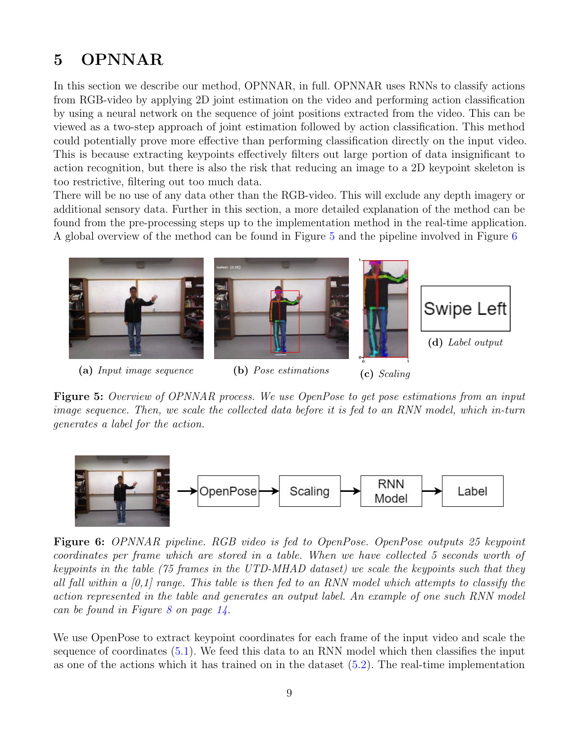# <span id="page-11-0"></span>5 OPNNAR

In this section we describe our method, OPNNAR, in full. OPNNAR uses RNNs to classify actions from RGB-video by applying 2D joint estimation on the video and performing action classification by using a neural network on the sequence of joint positions extracted from the video. This can be viewed as a two-step approach of joint estimation followed by action classification. This method could potentially prove more effective than performing classification directly on the input video. This is because extracting keypoints effectively filters out large portion of data insignificant to action recognition, but there is also the risk that reducing an image to a 2D keypoint skeleton is too restrictive, filtering out too much data.

There will be no use of any data other than the RGB-video. This will exclude any depth imagery or additional sensory data. Further in this section, a more detailed explanation of the method can be found from the pre-processing steps up to the implementation method in the real-time application. A global overview of the method can be found in Figure [5](#page-11-1) and the pipeline involved in Figure [6](#page-11-2)

<span id="page-11-1"></span>

Figure 5: Overview of OPNNAR process. We use OpenPose to get pose estimations from an input image sequence. Then, we scale the collected data before it is fed to an RNN model, which in-turn generates a label for the action.

<span id="page-11-2"></span>

Figure 6: OPNNAR pipeline. RGB video is fed to OpenPose. OpenPose outputs 25 keypoint coordinates per frame which are stored in a table. When we have collected 5 seconds worth of keypoints in the table (75 frames in the UTD-MHAD dataset) we scale the keypoints such that they all fall within a  $[0,1]$  range. This table is then fed to an RNN model which attempts to classify the action represented in the table and generates an output label. An example of one such RNN model can be found in Figure [8](#page-16-1) on page [14.](#page-16-1)

We use OpenPose to extract keypoint coordinates for each frame of the input video and scale the sequence of coordinates [\(5.1\)](#page-12-0). We feed this data to an RNN model which then classifies the input as one of the actions which it has trained on in the dataset  $(5.2)$ . The real-time implementation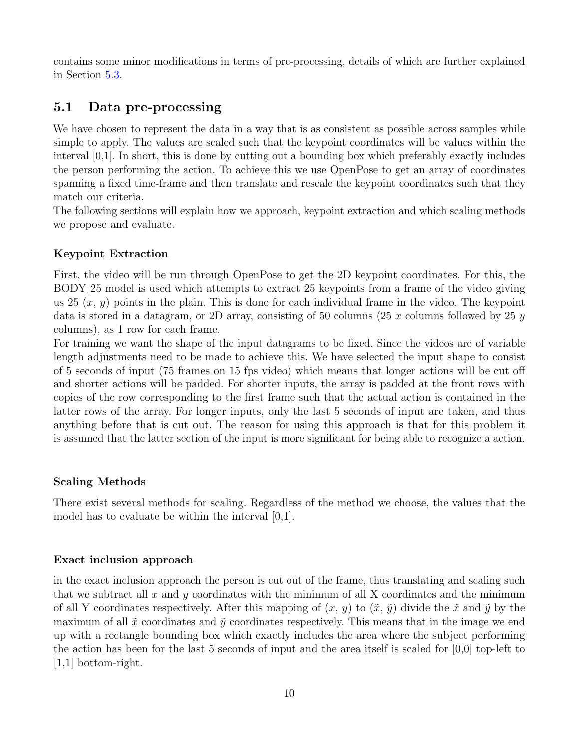contains some minor modifications in terms of pre-processing, details of which are further explained in Section [5.3.](#page-16-0)

### <span id="page-12-0"></span>5.1 Data pre-processing

We have chosen to represent the data in a way that is as consistent as possible across samples while simple to apply. The values are scaled such that the keypoint coordinates will be values within the interval [0,1]. In short, this is done by cutting out a bounding box which preferably exactly includes the person performing the action. To achieve this we use OpenPose to get an array of coordinates spanning a fixed time-frame and then translate and rescale the keypoint coordinates such that they match our criteria.

The following sections will explain how we approach, keypoint extraction and which scaling methods we propose and evaluate.

#### <span id="page-12-1"></span>Keypoint Extraction

First, the video will be run through OpenPose to get the 2D keypoint coordinates. For this, the BODY 25 model is used which attempts to extract 25 keypoints from a frame of the video giving us  $25(x, y)$  points in the plain. This is done for each individual frame in the video. The keypoint data is stored in a datagram, or 2D array, consisting of 50 columns (25 x columns followed by 25 y columns), as 1 row for each frame.

For training we want the shape of the input datagrams to be fixed. Since the videos are of variable length adjustments need to be made to achieve this. We have selected the input shape to consist of 5 seconds of input (75 frames on 15 fps video) which means that longer actions will be cut off and shorter actions will be padded. For shorter inputs, the array is padded at the front rows with copies of the row corresponding to the first frame such that the actual action is contained in the latter rows of the array. For longer inputs, only the last 5 seconds of input are taken, and thus anything before that is cut out. The reason for using this approach is that for this problem it is assumed that the latter section of the input is more significant for being able to recognize a action.

#### Scaling Methods

There exist several methods for scaling. Regardless of the method we choose, the values that the model has to evaluate be within the interval [0,1].

#### Exact inclusion approach

in the exact inclusion approach the person is cut out of the frame, thus translating and scaling such that we subtract all  $x$  and  $y$  coordinates with the minimum of all  $X$  coordinates and the minimum of all Y coordinates respectively. After this mapping of  $(x, y)$  to  $(\tilde{x}, \tilde{y})$  divide the  $\tilde{x}$  and  $\tilde{y}$  by the maximum of all  $\tilde{x}$  coordinates and  $\tilde{y}$  coordinates respectively. This means that in the image we end up with a rectangle bounding box which exactly includes the area where the subject performing the action has been for the last 5 seconds of input and the area itself is scaled for [0,0] top-left to [1,1] bottom-right.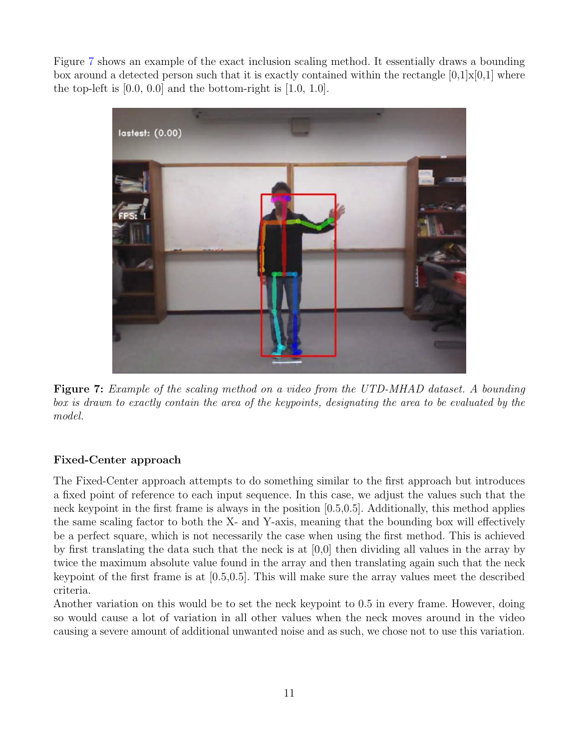Figure [7](#page-13-0) shows an example of the exact inclusion scaling method. It essentially draws a bounding box around a detected person such that it is exactly contained within the rectangle  $[0,1]\times[0,1]$  where the top-left is  $[0.0, 0.0]$  and the bottom-right is  $[1.0, 1.0]$ .

<span id="page-13-0"></span>

Figure 7: Example of the scaling method on a video from the UTD-MHAD dataset. A bounding box is drawn to exactly contain the area of the keypoints, designating the area to be evaluated by the model.

### Fixed-Center approach

The Fixed-Center approach attempts to do something similar to the first approach but introduces a fixed point of reference to each input sequence. In this case, we adjust the values such that the neck keypoint in the first frame is always in the position [0.5,0.5]. Additionally, this method applies the same scaling factor to both the X- and Y-axis, meaning that the bounding box will effectively be a perfect square, which is not necessarily the case when using the first method. This is achieved by first translating the data such that the neck is at [0,0] then dividing all values in the array by twice the maximum absolute value found in the array and then translating again such that the neck keypoint of the first frame is at [0.5,0.5]. This will make sure the array values meet the described criteria.

Another variation on this would be to set the neck keypoint to 0.5 in every frame. However, doing so would cause a lot of variation in all other values when the neck moves around in the video causing a severe amount of additional unwanted noise and as such, we chose not to use this variation.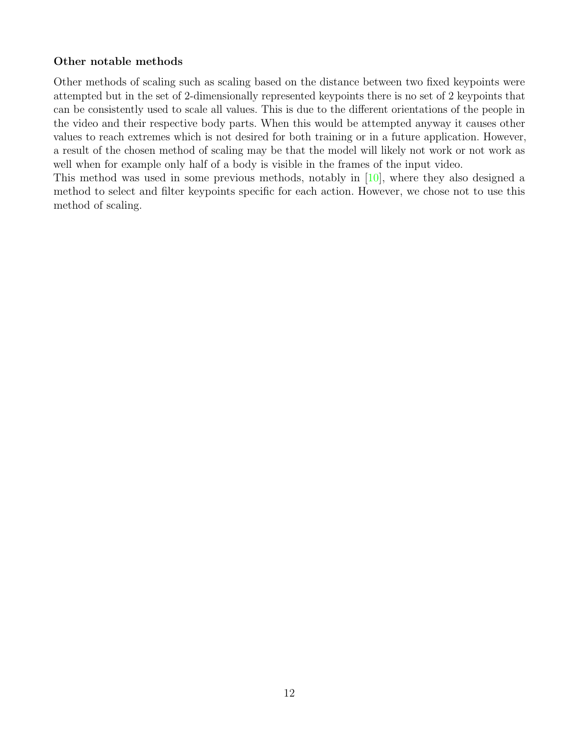#### Other notable methods

Other methods of scaling such as scaling based on the distance between two fixed keypoints were attempted but in the set of 2-dimensionally represented keypoints there is no set of 2 keypoints that can be consistently used to scale all values. This is due to the different orientations of the people in the video and their respective body parts. When this would be attempted anyway it causes other values to reach extremes which is not desired for both training or in a future application. However, a result of the chosen method of scaling may be that the model will likely not work or not work as well when for example only half of a body is visible in the frames of the input video.

This method was used in some previous methods, notably in [\[10\]](#page-31-10), where they also designed a method to select and filter keypoints specific for each action. However, we chose not to use this method of scaling.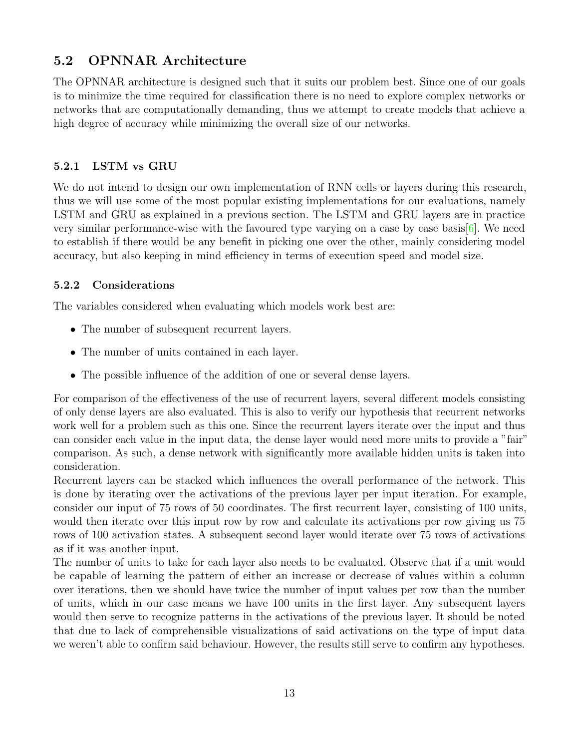## <span id="page-15-0"></span>5.2 OPNNAR Architecture

The OPNNAR architecture is designed such that it suits our problem best. Since one of our goals is to minimize the time required for classification there is no need to explore complex networks or networks that are computationally demanding, thus we attempt to create models that achieve a high degree of accuracy while minimizing the overall size of our networks.

### <span id="page-15-1"></span>5.2.1 LSTM vs GRU

We do not intend to design our own implementation of RNN cells or layers during this research, thus we will use some of the most popular existing implementations for our evaluations, namely LSTM and GRU as explained in a previous section. The LSTM and GRU layers are in practice very similar performance-wise with the favoured type varying on a case by case basis  $[6]$ . We need to establish if there would be any benefit in picking one over the other, mainly considering model accuracy, but also keeping in mind efficiency in terms of execution speed and model size.

### <span id="page-15-2"></span>5.2.2 Considerations

The variables considered when evaluating which models work best are:

- The number of subsequent recurrent layers.
- The number of units contained in each layer.
- The possible influence of the addition of one or several dense layers.

For comparison of the effectiveness of the use of recurrent layers, several different models consisting of only dense layers are also evaluated. This is also to verify our hypothesis that recurrent networks work well for a problem such as this one. Since the recurrent layers iterate over the input and thus can consider each value in the input data, the dense layer would need more units to provide a "fair" comparison. As such, a dense network with significantly more available hidden units is taken into consideration.

Recurrent layers can be stacked which influences the overall performance of the network. This is done by iterating over the activations of the previous layer per input iteration. For example, consider our input of 75 rows of 50 coordinates. The first recurrent layer, consisting of 100 units, would then iterate over this input row by row and calculate its activations per row giving us 75 rows of 100 activation states. A subsequent second layer would iterate over 75 rows of activations as if it was another input.

The number of units to take for each layer also needs to be evaluated. Observe that if a unit would be capable of learning the pattern of either an increase or decrease of values within a column over iterations, then we should have twice the number of input values per row than the number of units, which in our case means we have 100 units in the first layer. Any subsequent layers would then serve to recognize patterns in the activations of the previous layer. It should be noted that due to lack of comprehensible visualizations of said activations on the type of input data we weren't able to confirm said behaviour. However, the results still serve to confirm any hypotheses.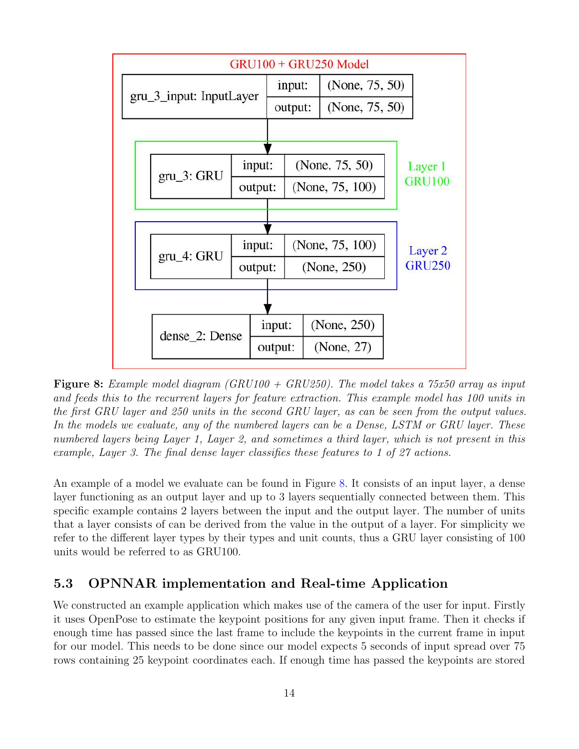<span id="page-16-1"></span>

**Figure 8:** Example model diagram (GRU100 + GRU250). The model takes a 75x50 array as input and feeds this to the recurrent layers for feature extraction. This example model has 100 units in the first GRU layer and 250 units in the second GRU layer, as can be seen from the output values. In the models we evaluate, any of the numbered layers can be a Dense, LSTM or GRU layer. These numbered layers being Layer 1, Layer 2, and sometimes a third layer, which is not present in this example, Layer 3. The final dense layer classifies these features to 1 of 27 actions.

An example of a model we evaluate can be found in Figure [8.](#page-16-1) It consists of an input layer, a dense layer functioning as an output layer and up to 3 layers sequentially connected between them. This specific example contains 2 layers between the input and the output layer. The number of units that a layer consists of can be derived from the value in the output of a layer. For simplicity we refer to the different layer types by their types and unit counts, thus a GRU layer consisting of 100 units would be referred to as GRU100.

## <span id="page-16-0"></span>5.3 OPNNAR implementation and Real-time Application

We constructed an example application which makes use of the camera of the user for input. Firstly it uses OpenPose to estimate the keypoint positions for any given input frame. Then it checks if enough time has passed since the last frame to include the keypoints in the current frame in input for our model. This needs to be done since our model expects 5 seconds of input spread over 75 rows containing 25 keypoint coordinates each. If enough time has passed the keypoints are stored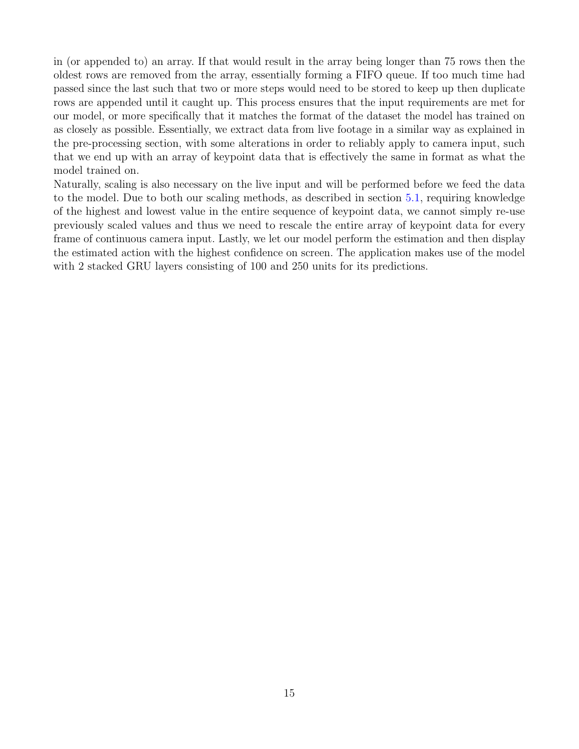in (or appended to) an array. If that would result in the array being longer than 75 rows then the oldest rows are removed from the array, essentially forming a FIFO queue. If too much time had passed since the last such that two or more steps would need to be stored to keep up then duplicate rows are appended until it caught up. This process ensures that the input requirements are met for our model, or more specifically that it matches the format of the dataset the model has trained on as closely as possible. Essentially, we extract data from live footage in a similar way as explained in the pre-processing section, with some alterations in order to reliably apply to camera input, such that we end up with an array of keypoint data that is effectively the same in format as what the model trained on.

Naturally, scaling is also necessary on the live input and will be performed before we feed the data to the model. Due to both our scaling methods, as described in section [5.1,](#page-12-1) requiring knowledge of the highest and lowest value in the entire sequence of keypoint data, we cannot simply re-use previously scaled values and thus we need to rescale the entire array of keypoint data for every frame of continuous camera input. Lastly, we let our model perform the estimation and then display the estimated action with the highest confidence on screen. The application makes use of the model with 2 stacked GRU layers consisting of 100 and 250 units for its predictions.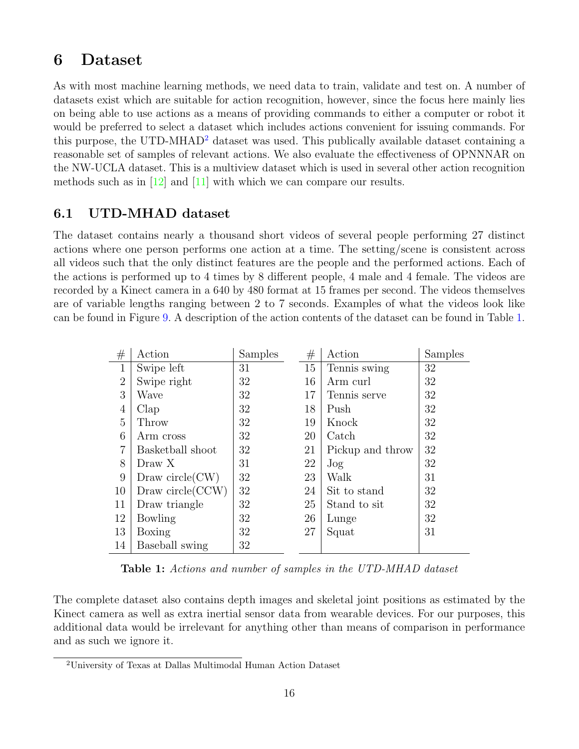## <span id="page-18-0"></span>6 Dataset

As with most machine learning methods, we need data to train, validate and test on. A number of datasets exist which are suitable for action recognition, however, since the focus here mainly lies on being able to use actions as a means of providing commands to either a computer or robot it would be preferred to select a dataset which includes actions convenient for issuing commands. For this purpose, the UTD-MHAD<sup>[2](#page-18-2)</sup> dataset was used. This publically available dataset containing a reasonable set of samples of relevant actions. We also evaluate the effectiveness of OPNNNAR on the NW-UCLA dataset. This is a multiview dataset which is used in several other action recognition methods such as in  $[12]$  and  $[11]$  with which we can compare our results.

## <span id="page-18-1"></span>6.1 UTD-MHAD dataset

The dataset contains nearly a thousand short videos of several people performing 27 distinct actions where one person performs one action at a time. The setting/scene is consistent across all videos such that the only distinct features are the people and the performed actions. Each of the actions is performed up to 4 times by 8 different people, 4 male and 4 female. The videos are recorded by a Kinect camera in a 640 by 480 format at 15 frames per second. The videos themselves are of variable lengths ranging between 2 to 7 seconds. Examples of what the videos look like can be found in Figure [9.](#page-19-0) A description of the action contents of the dataset can be found in Table [1.](#page-18-3)

<span id="page-18-3"></span>

| #              | Action              | Samples | #  | Action           | Samples |
|----------------|---------------------|---------|----|------------------|---------|
| $\mathbf{1}$   | Swipe left          | 31      | 15 | Tennis swing     | 32      |
| $\overline{2}$ | Swipe right         | 32      | 16 | Arm curl         | 32      |
| 3              | Wave                | 32      | 17 | Tennis serve     | 32      |
| $\overline{4}$ | Clap                | 32      | 18 | Push             | 32      |
| $\overline{5}$ | Throw               | 32      | 19 | Knock            | 32      |
| 6              | Arm cross           | 32      | 20 | Catch            | 32      |
| 7              | Basketball shoot    | 32      | 21 | Pickup and throw | 32      |
| 8              | Draw X              | 31      | 22 | Jog              | 32      |
| 9              | Draw circle $(CW)$  | 32      | 23 | Walk             | 31      |
| 10             | Draw circle $(CCW)$ | 32      | 24 | Sit to stand     | 32      |
| 11             | Draw triangle       | 32      | 25 | Stand to sit     | 32      |
| 12             | Bowling             | 32      | 26 | Lunge            | 32      |
| 13             | Boxing              | 32      | 27 | Squat            | 31      |
| 14             | Baseball swing      | 32      |    |                  |         |

Table 1: Actions and number of samples in the UTD-MHAD dataset

The complete dataset also contains depth images and skeletal joint positions as estimated by the Kinect camera as well as extra inertial sensor data from wearable devices. For our purposes, this additional data would be irrelevant for anything other than means of comparison in performance and as such we ignore it.

<span id="page-18-2"></span><sup>2</sup>University of Texas at Dallas Multimodal Human Action Dataset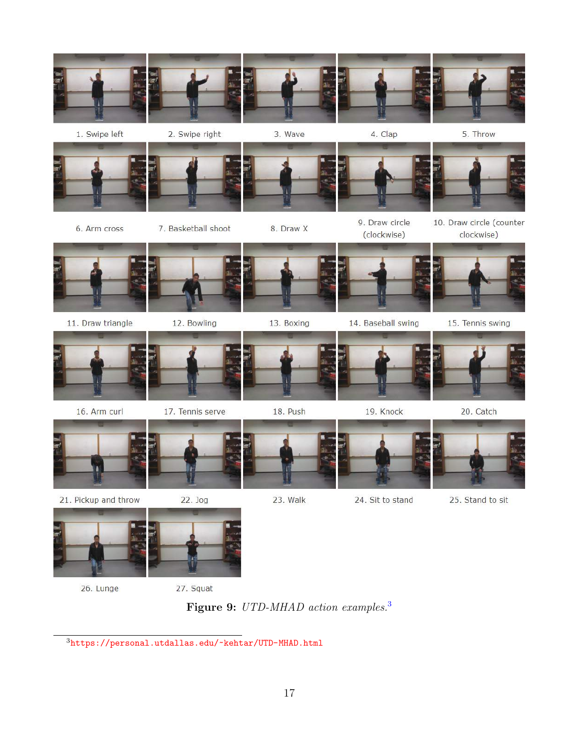<span id="page-19-0"></span>

Figure 9: UTD-MHAD action examples.<sup>[3](#page-19-1)</sup>

<span id="page-19-1"></span><https://personal.utdallas.edu/~kehtar/UTD-MHAD.html>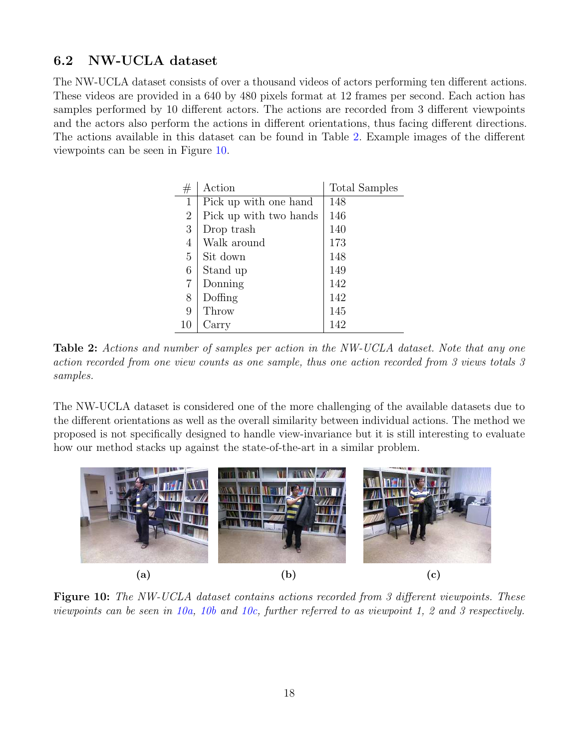## <span id="page-20-0"></span>6.2 NW-UCLA dataset

<span id="page-20-1"></span>The NW-UCLA dataset consists of over a thousand videos of actors performing ten different actions. These videos are provided in a 640 by 480 pixels format at 12 frames per second. Each action has samples performed by 10 different actors. The actions are recorded from 3 different viewpoints and the actors also perform the actions in different orientations, thus facing different directions. The actions available in this dataset can be found in Table [2.](#page-20-1) Example images of the different viewpoints can be seen in Figure [10.](#page-20-2)

| #              | Action                 | Total Samples |
|----------------|------------------------|---------------|
| 1              | Pick up with one hand  | 148           |
| $\overline{2}$ | Pick up with two hands | 146           |
| 3              | Drop trash             | 140           |
| 4              | Walk around            | 173           |
| 5              | Sit down               | 148           |
| 6              | Stand up               | 149           |
| $\overline{7}$ | Donning                | 142           |
| 8              | Doffing                | 142           |
| 9              | Throw                  | 145           |
| 10             | Carry                  | 142           |

Table 2: Actions and number of samples per action in the NW-UCLA dataset. Note that any one action recorded from one view counts as one sample, thus one action recorded from 3 views totals 3 samples.

The NW-UCLA dataset is considered one of the more challenging of the available datasets due to the different orientations as well as the overall similarity between individual actions. The method we proposed is not specifically designed to handle view-invariance but it is still interesting to evaluate how our method stacks up against the state-of-the-art in a similar problem.

<span id="page-20-2"></span>

**Figure 10:** The NW-UCLA dataset contains actions recorded from 3 different viewpoints. These viewpoints can be seen in [10a,](#page-20-2) [10b](#page-20-2) and [10c,](#page-20-2) further referred to as viewpoint 1, 2 and 3 respectively.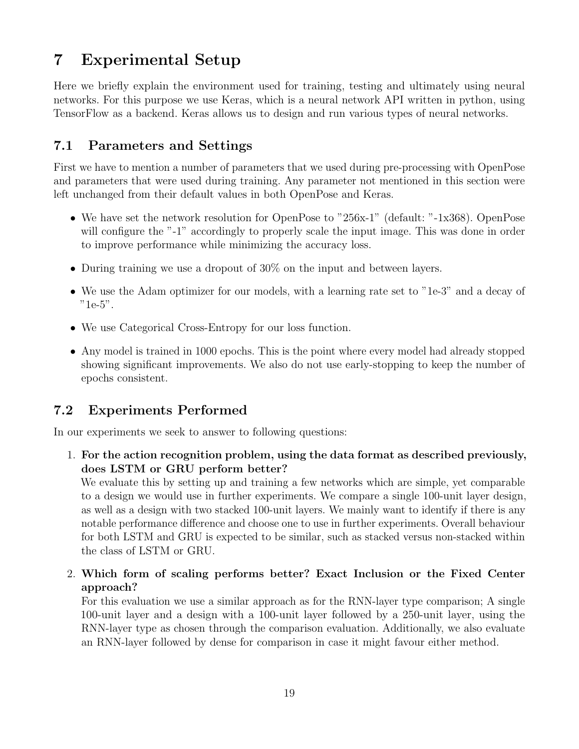# <span id="page-21-0"></span>7 Experimental Setup

Here we briefly explain the environment used for training, testing and ultimately using neural networks. For this purpose we use Keras, which is a neural network API written in python, using TensorFlow as a backend. Keras allows us to design and run various types of neural networks.

## <span id="page-21-1"></span>7.1 Parameters and Settings

First we have to mention a number of parameters that we used during pre-processing with OpenPose and parameters that were used during training. Any parameter not mentioned in this section were left unchanged from their default values in both OpenPose and Keras.

- We have set the network resolution for OpenPose to "256x-1" (default: "-1x368). OpenPose will configure the "-1" accordingly to properly scale the input image. This was done in order to improve performance while minimizing the accuracy loss.
- During training we use a dropout of 30% on the input and between layers.
- We use the Adam optimizer for our models, with a learning rate set to "1e-3" and a decay of "1e-5".
- We use Categorical Cross-Entropy for our loss function.
- Any model is trained in 1000 epochs. This is the point where every model had already stopped showing significant improvements. We also do not use early-stopping to keep the number of epochs consistent.

## <span id="page-21-2"></span>7.2 Experiments Performed

In our experiments we seek to answer to following questions:

1. For the action recognition problem, using the data format as described previously, does LSTM or GRU perform better?

We evaluate this by setting up and training a few networks which are simple, yet comparable to a design we would use in further experiments. We compare a single 100-unit layer design, as well as a design with two stacked 100-unit layers. We mainly want to identify if there is any notable performance difference and choose one to use in further experiments. Overall behaviour for both LSTM and GRU is expected to be similar, such as stacked versus non-stacked within the class of LSTM or GRU.

2. Which form of scaling performs better? Exact Inclusion or the Fixed Center approach?

For this evaluation we use a similar approach as for the RNN-layer type comparison; A single 100-unit layer and a design with a 100-unit layer followed by a 250-unit layer, using the RNN-layer type as chosen through the comparison evaluation. Additionally, we also evaluate an RNN-layer followed by dense for comparison in case it might favour either method.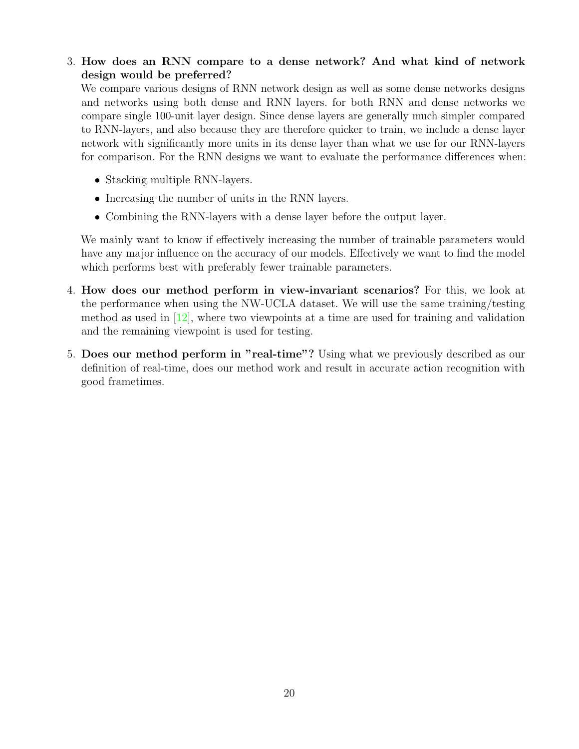3. How does an RNN compare to a dense network? And what kind of network design would be preferred?

We compare various designs of RNN network design as well as some dense networks designs and networks using both dense and RNN layers. for both RNN and dense networks we compare single 100-unit layer design. Since dense layers are generally much simpler compared to RNN-layers, and also because they are therefore quicker to train, we include a dense layer network with significantly more units in its dense layer than what we use for our RNN-layers for comparison. For the RNN designs we want to evaluate the performance differences when:

- Stacking multiple RNN-layers.
- Increasing the number of units in the RNN layers.
- Combining the RNN-layers with a dense layer before the output layer.

We mainly want to know if effectively increasing the number of trainable parameters would have any major influence on the accuracy of our models. Effectively we want to find the model which performs best with preferably fewer trainable parameters.

- 4. How does our method perform in view-invariant scenarios? For this, we look at the performance when using the NW-UCLA dataset. We will use the same training/testing method as used in  $[12]$ , where two viewpoints at a time are used for training and validation and the remaining viewpoint is used for testing.
- 5. Does our method perform in "real-time"? Using what we previously described as our definition of real-time, does our method work and result in accurate action recognition with good frametimes.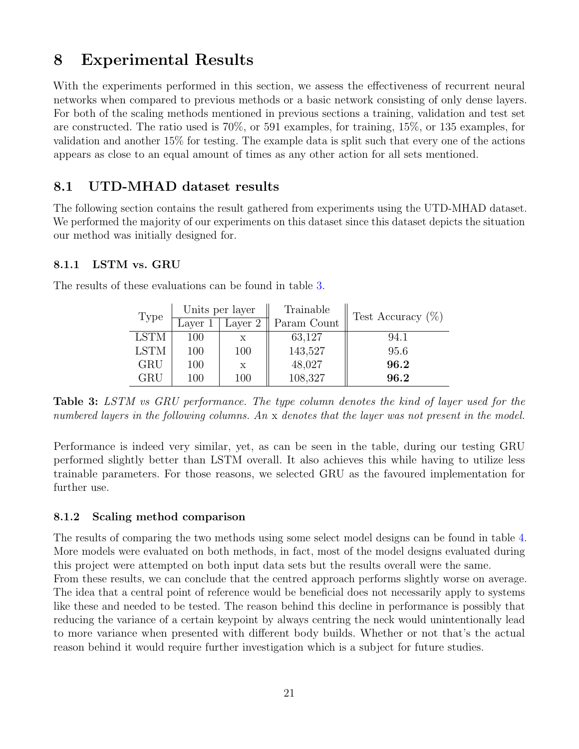# <span id="page-23-0"></span>8 Experimental Results

With the experiments performed in this section, we assess the effectiveness of recurrent neural networks when compared to previous methods or a basic network consisting of only dense layers. For both of the scaling methods mentioned in previous sections a training, validation and test set are constructed. The ratio used is 70%, or 591 examples, for training, 15%, or 135 examples, for validation and another 15% for testing. The example data is split such that every one of the actions appears as close to an equal amount of times as any other action for all sets mentioned.

## <span id="page-23-1"></span>8.1 UTD-MHAD dataset results

The following section contains the result gathered from experiments using the UTD-MHAD dataset. We performed the majority of our experiments on this dataset since this dataset depicts the situation our method was initially designed for.

#### <span id="page-23-2"></span>8.1.1 LSTM vs. GRU

|             | Units per layer |         | Trainable   | Test Accuracy $(\%)$ |  |
|-------------|-----------------|---------|-------------|----------------------|--|
| Type        | Layer 1         | Layer 2 | Param Count |                      |  |
| <b>LSTM</b> | 100             |         | 63,127      | 94.1                 |  |
| <b>LSTM</b> | 100             | 100     | 143,527     | 95.6                 |  |
| GRU         | 100             | X       | 48,027      | 96.2                 |  |
| GRU         | 100             | 100     | 108,327     | 96.2                 |  |

<span id="page-23-4"></span>The results of these evaluations can be found in table [3.](#page-23-4)

Table 3: LSTM vs GRU performance. The type column denotes the kind of layer used for the numbered layers in the following columns. An x denotes that the layer was not present in the model.

Performance is indeed very similar, yet, as can be seen in the table, during our testing GRU performed slightly better than LSTM overall. It also achieves this while having to utilize less trainable parameters. For those reasons, we selected GRU as the favoured implementation for further use.

#### <span id="page-23-3"></span>8.1.2 Scaling method comparison

The results of comparing the two methods using some select model designs can be found in table [4.](#page-24-1) More models were evaluated on both methods, in fact, most of the model designs evaluated during this project were attempted on both input data sets but the results overall were the same.

From these results, we can conclude that the centred approach performs slightly worse on average. The idea that a central point of reference would be beneficial does not necessarily apply to systems like these and needed to be tested. The reason behind this decline in performance is possibly that reducing the variance of a certain keypoint by always centring the neck would unintentionally lead to more variance when presented with different body builds. Whether or not that's the actual reason behind it would require further investigation which is a subject for future studies.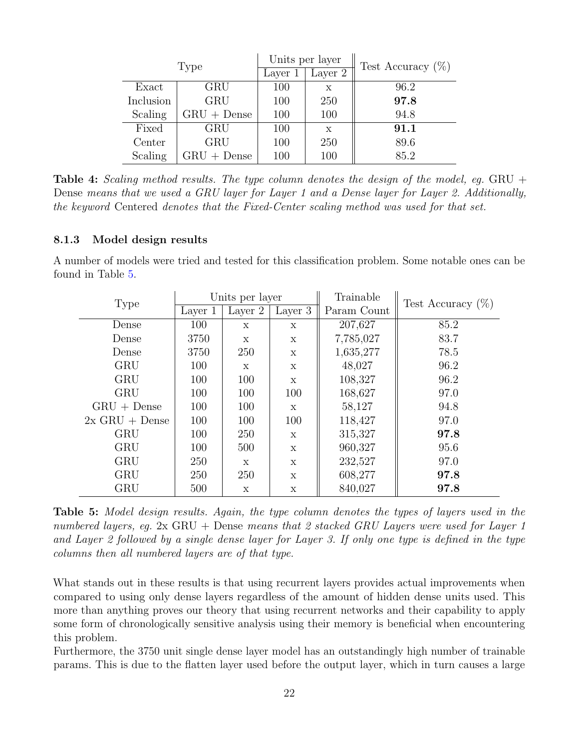<span id="page-24-1"></span>

|           | Type          |         | Units per layer | Test Accuracy $(\%)$ |
|-----------|---------------|---------|-----------------|----------------------|
|           |               | Layer 1 | Layer 2         |                      |
| Exact     | GRU           | 100     | X               | 96.2                 |
| Inclusion | <b>GRU</b>    | 100     | 250             | 97.8                 |
| Scaling   | $GRU + Dense$ | 100     | 100             | 94.8                 |
| Fixed     | GRU           | 100     | X               | 91.1                 |
| Center    | <b>GRU</b>    | 100     | 250             | 89.6                 |
| Scaling   | $GRU + Dense$ | 100     | 100             | 85.2                 |

**Table 4:** Scaling method results. The type column denotes the design of the model, eg. GRU + Dense means that we used a GRU layer for Layer 1 and a Dense layer for Layer 2. Additionally, the keyword Centered denotes that the Fixed-Center scaling method was used for that set.

#### <span id="page-24-0"></span>8.1.3 Model design results

A number of models were tried and tested for this classification problem. Some notable ones can be found in Table [5.](#page-24-2)

<span id="page-24-2"></span>

| Type             | Units per layer |         | Trainable    | Test Accuracy $(\%)$ |      |
|------------------|-----------------|---------|--------------|----------------------|------|
|                  | Layer 1         | Layer 2 | Layer 3      | Param Count          |      |
| Dense            | 100             | X       | X            | 207,627              | 85.2 |
| Dense            | 3750            | X       | $\mathbf x$  | 7,785,027            | 83.7 |
| Dense            | 3750            | 250     | $\mathbf{x}$ | 1,635,277            | 78.5 |
| <b>GRU</b>       | 100             | X       | $\mathbf x$  | 48,027               | 96.2 |
| <b>GRU</b>       | 100             | 100     | $\mathbf x$  | 108,327              | 96.2 |
| <b>GRU</b>       | 100             | 100     | 100          | 168,627              | 97.0 |
| $GRU + Dense$    | 100             | 100     | $\mathbf{x}$ | 58,127               | 94.8 |
| $2x$ GRU + Dense | 100             | 100     | 100          | 118,427              | 97.0 |
| <b>GRU</b>       | 100             | 250     | $\mathbf{x}$ | 315,327              | 97.8 |
| GRU              | 100             | 500     | X            | 960,327              | 95.6 |
| <b>GRU</b>       | 250             | X       | $\mathbf x$  | 232,527              | 97.0 |
| GRU              | <b>250</b>      | 250     | X            | 608,277              | 97.8 |
| GRU              | 500             | X       | X            | 840,027              | 97.8 |

Table 5: Model design results. Again, the type column denotes the types of layers used in the numbered layers, eq.  $2x$  GRU + Dense means that 2 stacked GRU Layers were used for Layer 1 and Layer 2 followed by a single dense layer for Layer 3. If only one type is defined in the type columns then all numbered layers are of that type.

What stands out in these results is that using recurrent layers provides actual improvements when compared to using only dense layers regardless of the amount of hidden dense units used. This more than anything proves our theory that using recurrent networks and their capability to apply some form of chronologically sensitive analysis using their memory is beneficial when encountering this problem.

Furthermore, the 3750 unit single dense layer model has an outstandingly high number of trainable params. This is due to the flatten layer used before the output layer, which in turn causes a large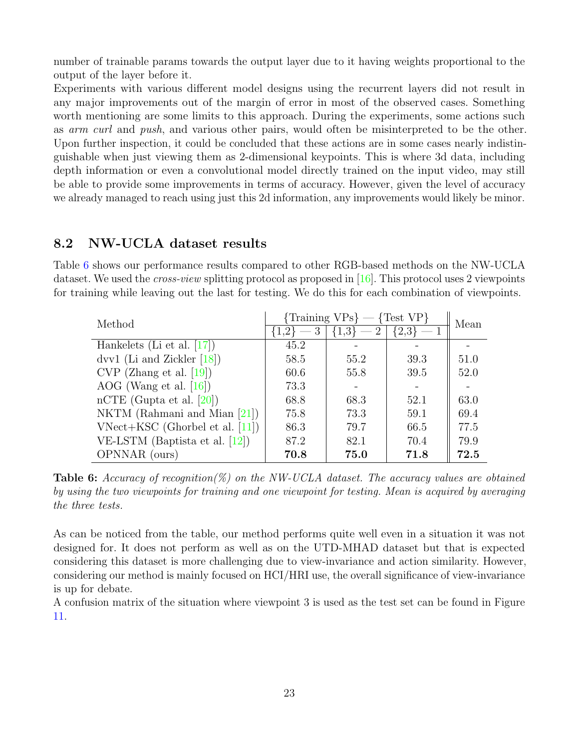number of trainable params towards the output layer due to it having weights proportional to the output of the layer before it.

Experiments with various different model designs using the recurrent layers did not result in any major improvements out of the margin of error in most of the observed cases. Something worth mentioning are some limits to this approach. During the experiments, some actions such as arm curl and push, and various other pairs, would often be misinterpreted to be the other. Upon further inspection, it could be concluded that these actions are in some cases nearly indistinguishable when just viewing them as 2-dimensional keypoints. This is where 3d data, including depth information or even a convolutional model directly trained on the input video, may still be able to provide some improvements in terms of accuracy. However, given the level of accuracy we already managed to reach using just this 2d information, any improvements would likely be minor.

### <span id="page-25-0"></span>8.2 NW-UCLA dataset results

Table [6](#page-25-1) shows our performance results compared to other RGB-based methods on the NW-UCLA dataset. We used the *cross-view* splitting protocol as proposed in [\[16\]](#page-32-3). This protocol uses 2 viewpoints for training while leaving out the last for testing. We do this for each combination of viewpoints.

<span id="page-25-1"></span>

| Method                            | $\{Training \, VPs\} - \{Test \, VP\}$ | Mean                          |               |      |
|-----------------------------------|----------------------------------------|-------------------------------|---------------|------|
|                                   | $\{1,2\}$                              | $\{1,3\} =$<br>$\overline{2}$ | $\{2,3\}$ — 1 |      |
| Hankelets (Li et al. $[17]$ )     | 45.2                                   |                               |               |      |
| dvv1 (Li and Zickler $[18]$ )     | 58.5                                   | 55.2                          | 39.3          | 51.0 |
| $CVP$ (Zhang et al. [19])         | 60.6                                   | 55.8                          | 39.5          | 52.0 |
| AOG (Wang et al. $[16]$ )         | 73.3                                   |                               |               |      |
| nCTE (Gupta et al. $[20]$ )       | 68.8                                   | 68.3                          | 52.1          | 63.0 |
| NKTM (Rahmani and Mian $[21]$ )   | 75.8                                   | 73.3                          | 59.1          | 69.4 |
| $VNet+KSC$ (Ghorbel et al. [11])  | 86.3                                   | 79.7                          | 66.5          | 77.5 |
| VE-LSTM (Baptista et al. $[12]$ ) | 87.2                                   | 82.1                          | 70.4          | 79.9 |
| OPNNAR (ours)                     | 70.8                                   | 75.0                          | 71.8          | 72.5 |

**Table 6:** Accuracy of recognition(%) on the NW-UCLA dataset. The accuracy values are obtained by using the two viewpoints for training and one viewpoint for testing. Mean is acquired by averaging the three tests.

As can be noticed from the table, our method performs quite well even in a situation it was not designed for. It does not perform as well as on the UTD-MHAD dataset but that is expected considering this dataset is more challenging due to view-invariance and action similarity. However, considering our method is mainly focused on HCI/HRI use, the overall significance of view-invariance is up for debate.

A confusion matrix of the situation where viewpoint 3 is used as the test set can be found in Figure [11.](#page-26-0)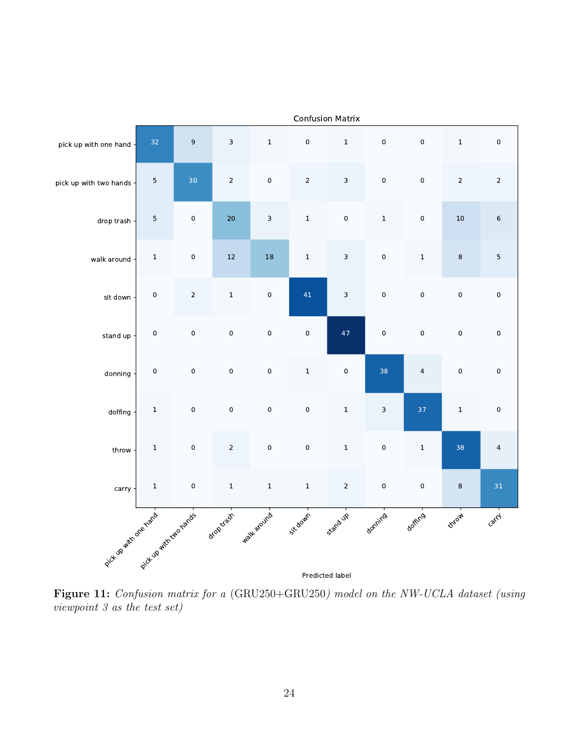<span id="page-26-0"></span>

Figure 11: Confusion matrix for a (GRU250+GRU250) model on the NW-UCLA dataset (using viewpoint 3 as the test set)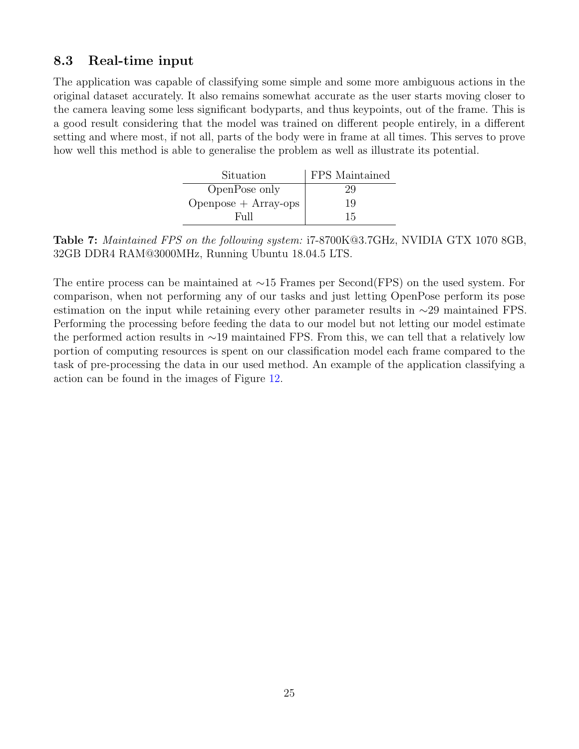### <span id="page-27-0"></span>8.3 Real-time input

The application was capable of classifying some simple and some more ambiguous actions in the original dataset accurately. It also remains somewhat accurate as the user starts moving closer to the camera leaving some less significant bodyparts, and thus keypoints, out of the frame. This is a good result considering that the model was trained on different people entirely, in a different setting and where most, if not all, parts of the body were in frame at all times. This serves to prove how well this method is able to generalise the problem as well as illustrate its potential.

| Situation              | FPS Maintained |
|------------------------|----------------|
| OpenPose only          | 29             |
| $Openpose + Array-ops$ | 19             |
| Full                   | 15             |

Table 7: Maintained FPS on the following system: i7-8700K@3.7GHz, NVIDIA GTX 1070 8GB, 32GB DDR4 RAM@3000MHz, Running Ubuntu 18.04.5 LTS.

The entire process can be maintained at ∼15 Frames per Second(FPS) on the used system. For comparison, when not performing any of our tasks and just letting OpenPose perform its pose estimation on the input while retaining every other parameter results in ∼29 maintained FPS. Performing the processing before feeding the data to our model but not letting our model estimate the performed action results in ∼19 maintained FPS. From this, we can tell that a relatively low portion of computing resources is spent on our classification model each frame compared to the task of pre-processing the data in our used method. An example of the application classifying a action can be found in the images of Figure [12.](#page-28-0)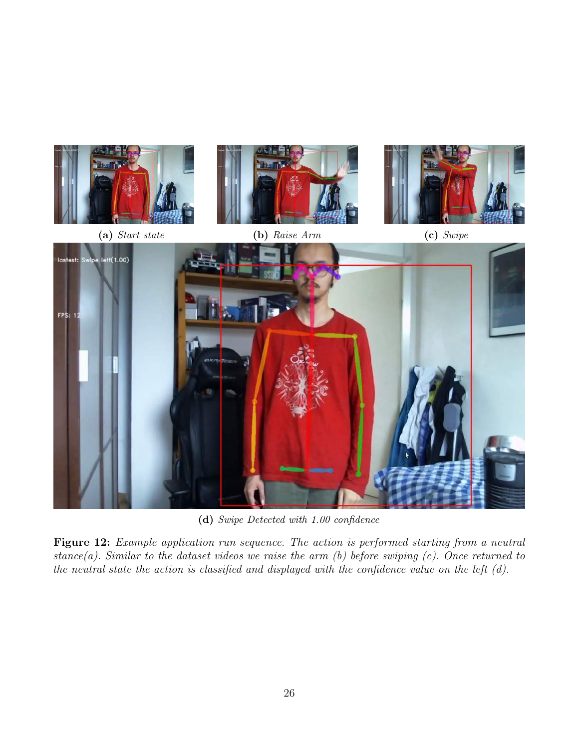<span id="page-28-0"></span>

(d) Swipe Detected with 1.00 confidence

Figure 12: Example application run sequence. The action is performed starting from a neutral stance(a). Similar to the dataset videos we raise the arm  $(b)$  before swiping  $(c)$ . Once returned to the neutral state the action is classified and displayed with the confidence value on the left (d).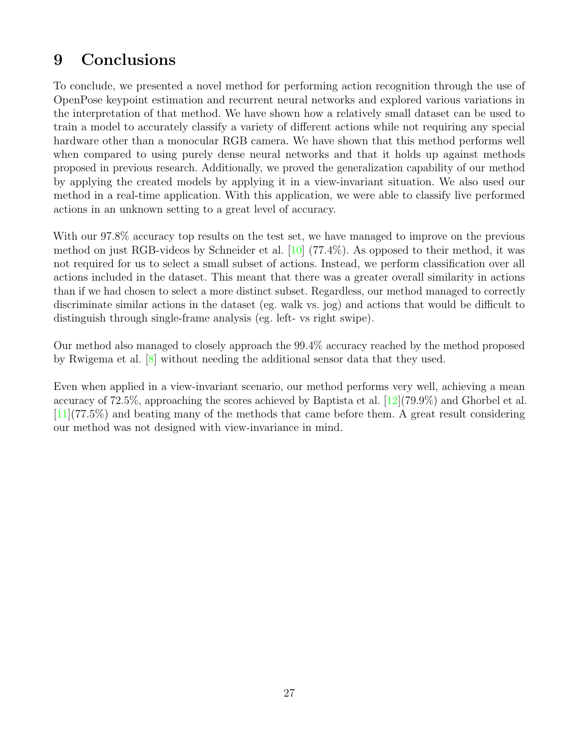# <span id="page-29-0"></span>9 Conclusions

To conclude, we presented a novel method for performing action recognition through the use of OpenPose keypoint estimation and recurrent neural networks and explored various variations in the interpretation of that method. We have shown how a relatively small dataset can be used to train a model to accurately classify a variety of different actions while not requiring any special hardware other than a monocular RGB camera. We have shown that this method performs well when compared to using purely dense neural networks and that it holds up against methods proposed in previous research. Additionally, we proved the generalization capability of our method by applying the created models by applying it in a view-invariant situation. We also used our method in a real-time application. With this application, we were able to classify live performed actions in an unknown setting to a great level of accuracy.

With our 97.8% accuracy top results on the test set, we have managed to improve on the previous method on just RGB-videos by Schneider et al. [\[10\]](#page-31-10) (77.4%). As opposed to their method, it was not required for us to select a small subset of actions. Instead, we perform classification over all actions included in the dataset. This meant that there was a greater overall similarity in actions than if we had chosen to select a more distinct subset. Regardless, our method managed to correctly discriminate similar actions in the dataset (eg. walk vs. jog) and actions that would be difficult to distinguish through single-frame analysis (eg. left- vs right swipe).

Our method also managed to closely approach the 99.4% accuracy reached by the method proposed by Rwigema et al.  $[8]$  without needing the additional sensor data that they used.

Even when applied in a view-invariant scenario, our method performs very well, achieving a mean accuracy of 72.5%, approaching the scores achieved by Baptista et al.  $[12](79.9\%)$  $[12](79.9\%)$  and Ghorbel et al. [\[11\]](#page-31-11)(77.5%) and beating many of the methods that came before them. A great result considering our method was not designed with view-invariance in mind.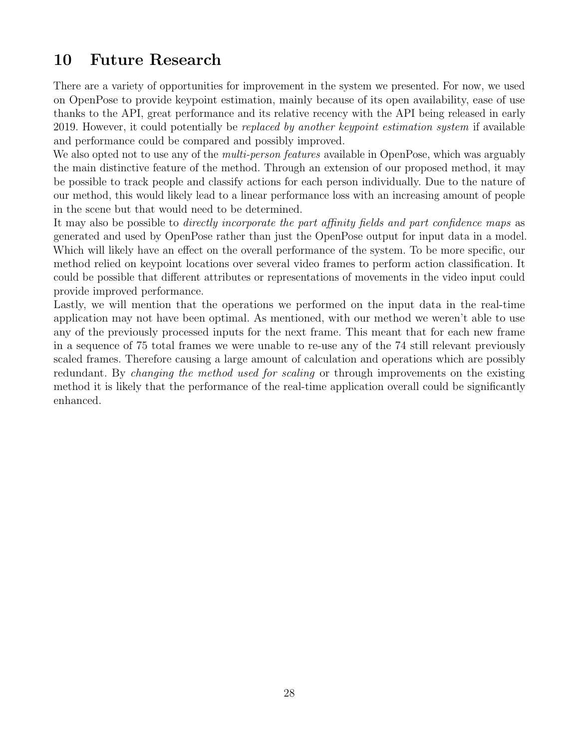# <span id="page-30-0"></span>10 Future Research

There are a variety of opportunities for improvement in the system we presented. For now, we used on OpenPose to provide keypoint estimation, mainly because of its open availability, ease of use thanks to the API, great performance and its relative recency with the API being released in early 2019. However, it could potentially be *replaced by another keypoint estimation system* if available and performance could be compared and possibly improved.

We also opted not to use any of the *multi-person features* available in OpenPose, which was arguably the main distinctive feature of the method. Through an extension of our proposed method, it may be possible to track people and classify actions for each person individually. Due to the nature of our method, this would likely lead to a linear performance loss with an increasing amount of people in the scene but that would need to be determined.

It may also be possible to *directly incorporate the part affinity fields and part confidence maps* as generated and used by OpenPose rather than just the OpenPose output for input data in a model. Which will likely have an effect on the overall performance of the system. To be more specific, our method relied on keypoint locations over several video frames to perform action classification. It could be possible that different attributes or representations of movements in the video input could provide improved performance.

Lastly, we will mention that the operations we performed on the input data in the real-time application may not have been optimal. As mentioned, with our method we weren't able to use any of the previously processed inputs for the next frame. This meant that for each new frame in a sequence of 75 total frames we were unable to re-use any of the 74 still relevant previously scaled frames. Therefore causing a large amount of calculation and operations which are possibly redundant. By *changing the method used for scaling* or through improvements on the existing method it is likely that the performance of the real-time application overall could be significantly enhanced.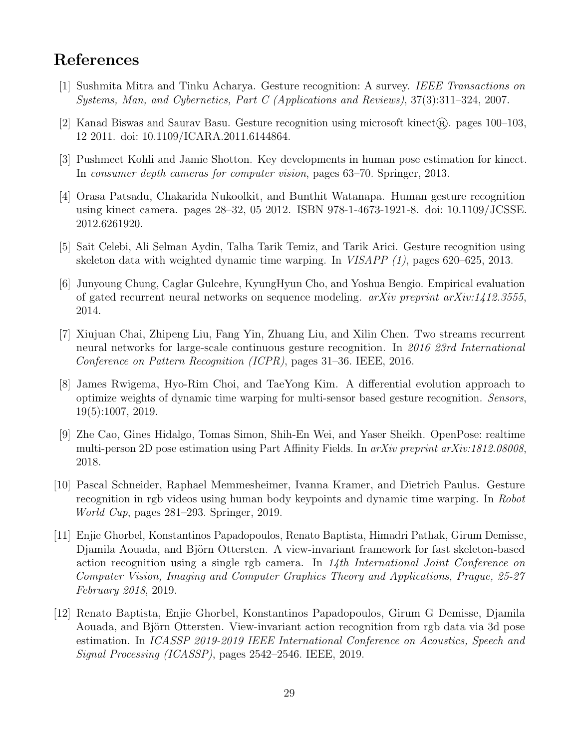# <span id="page-31-0"></span>References

- <span id="page-31-1"></span>[1] Sushmita Mitra and Tinku Acharya. Gesture recognition: A survey. IEEE Transactions on Systems, Man, and Cybernetics, Part C (Applications and Reviews), 37(3):311–324, 2007.
- <span id="page-31-2"></span>[2] Kanad Biswas and Saurav Basu. Gesture recognition using microsoft kinect  $\mathbb{R}$ . pages 100–103, 12 2011. doi: 10.1109/ICARA.2011.6144864.
- <span id="page-31-3"></span>[3] Pushmeet Kohli and Jamie Shotton. Key developments in human pose estimation for kinect. In consumer depth cameras for computer vision, pages 63–70. Springer, 2013.
- <span id="page-31-4"></span>[4] Orasa Patsadu, Chakarida Nukoolkit, and Bunthit Watanapa. Human gesture recognition using kinect camera. pages 28–32, 05 2012. ISBN 978-1-4673-1921-8. doi: 10.1109/JCSSE. 2012.6261920.
- <span id="page-31-5"></span>[5] Sait Celebi, Ali Selman Aydin, Talha Tarik Temiz, and Tarik Arici. Gesture recognition using skeleton data with weighted dynamic time warping. In VISAPP (1), pages 620–625, 2013.
- <span id="page-31-6"></span>[6] Junyoung Chung, Caglar Gulcehre, KyungHyun Cho, and Yoshua Bengio. Empirical evaluation of gated recurrent neural networks on sequence modeling.  $arXiv$  preprint  $arXiv:1412.3555$ , 2014.
- <span id="page-31-7"></span>[7] Xiujuan Chai, Zhipeng Liu, Fang Yin, Zhuang Liu, and Xilin Chen. Two streams recurrent neural networks for large-scale continuous gesture recognition. In 2016 23rd International Conference on Pattern Recognition (ICPR), pages 31–36. IEEE, 2016.
- <span id="page-31-8"></span>[8] James Rwigema, Hyo-Rim Choi, and TaeYong Kim. A differential evolution approach to optimize weights of dynamic time warping for multi-sensor based gesture recognition. Sensors, 19(5):1007, 2019.
- <span id="page-31-9"></span>[9] Zhe Cao, Gines Hidalgo, Tomas Simon, Shih-En Wei, and Yaser Sheikh. OpenPose: realtime multi-person 2D pose estimation using Part Affinity Fields. In arXiv preprint arXiv:1812.08008, 2018.
- <span id="page-31-10"></span>[10] Pascal Schneider, Raphael Memmesheimer, Ivanna Kramer, and Dietrich Paulus. Gesture recognition in rgb videos using human body keypoints and dynamic time warping. In Robot World Cup, pages 281–293. Springer, 2019.
- <span id="page-31-11"></span>[11] Enjie Ghorbel, Konstantinos Papadopoulos, Renato Baptista, Himadri Pathak, Girum Demisse, Djamila Aouada, and Björn Ottersten. A view-invariant framework for fast skeleton-based action recognition using a single rgb camera. In  $14$ th International Joint Conference on Computer Vision, Imaging and Computer Graphics Theory and Applications, Prague, 25-27 February 2018, 2019.
- <span id="page-31-12"></span>[12] Renato Baptista, Enjie Ghorbel, Konstantinos Papadopoulos, Girum G Demisse, Djamila Aouada, and Björn Ottersten. View-invariant action recognition from rgb data via 3d pose estimation. In ICASSP 2019-2019 IEEE International Conference on Acoustics, Speech and Signal Processing (ICASSP), pages 2542–2546. IEEE, 2019.